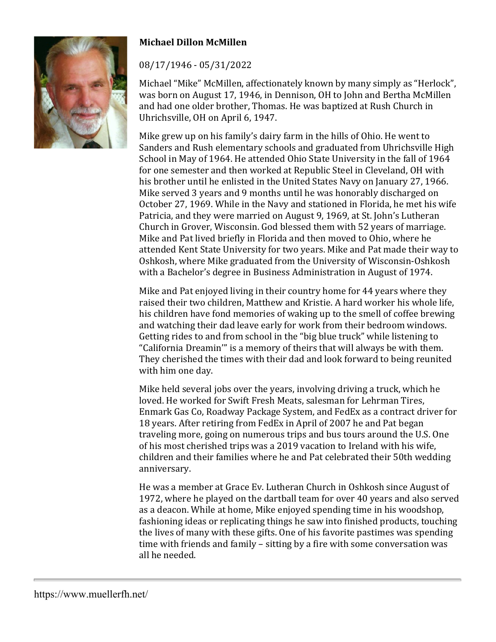

## **Michael Dillon McMillen**

08/17/1946 - 05/31/2022

Michael "Mike" McMillen, affectionately known by many simply as "Herlock", was born on August 17, 1946, in Dennison, OH to John and Bertha McMillen and had one older brother, Thomas. He was baptized at Rush Church in Uhrichsville, OH on April 6, 1947.

Mike grew up on his family's dairy farm in the hills of Ohio. He went to Sanders and Rush elementary schools and graduated from Uhrichsville High School in May of 1964. He attended Ohio State University in the fall of 1964 for one semester and then worked at Republic Steel in Cleveland, OH with his brother until he enlisted in the United States Navy on January 27, 1966. Mike served 3 years and 9 months until he was honorably discharged on October 27, 1969. While in the Navy and stationed in Florida, he met his wife Patricia, and they were married on August 9, 1969, at St. John's Lutheran Church in Grover, Wisconsin. God blessed them with 52 years of marriage. Mike and Pat lived briefly in Florida and then moved to Ohio, where he attended Kent State University for two years. Mike and Pat made their way to Oshkosh, where Mike graduated from the University of Wisconsin-Oshkosh with a Bachelor's degree in Business Administration in August of 1974.

Mike and Pat enjoyed living in their country home for 44 years where they raised their two children, Matthew and Kristie. A hard worker his whole life, his children have fond memories of waking up to the smell of coffee brewing and watching their dad leave early for work from their bedroom windows. Getting rides to and from school in the "big blue truck" while listening to "California Dreamin'" is a memory of theirs that will always be with them. They cherished the times with their dad and look forward to being reunited with him one day.

Mike held several jobs over the years, involving driving a truck, which he loved. He worked for Swift Fresh Meats, salesman for Lehrman Tires, Enmark Gas Co, Roadway Package System, and FedEx as a contract driver for 18 years. After retiring from FedEx in April of 2007 he and Pat began traveling more, going on numerous trips and bus tours around the U.S. One of his most cherished trips was a 2019 vacation to Ireland with his wife, children and their families where he and Pat celebrated their 50th wedding anniversary.

He was a member at Grace Ev. Lutheran Church in Oshkosh since August of 1972, where he played on the dartball team for over 40 years and also served as a deacon. While at home, Mike enjoyed spending time in his woodshop, fashioning ideas or replicating things he saw into finished products, touching the lives of many with these gifts. One of his favorite pastimes was spending time with friends and family – sitting by a fire with some conversation was all he needed.